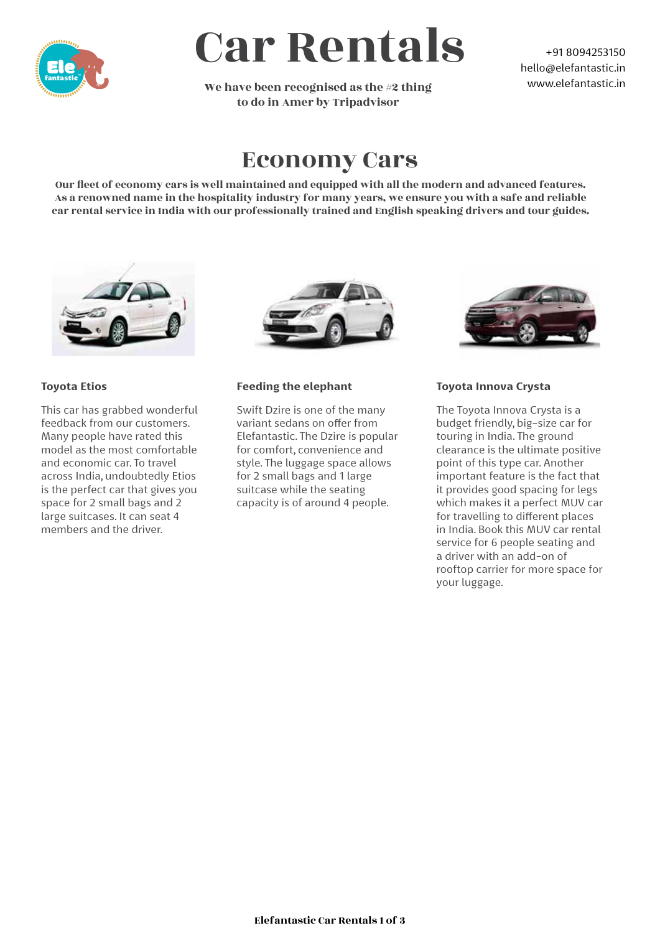

# Car Rentals

We have been recognised as the #2 thing to do in Amer by Tripadvisor

+91 8094253150 hello@elefantastic.in www.elefantastic.in

## Economy Cars

Our fleet of economy cars is well maintained and equipped with all the modern and advanced features. As a renowned name in the hospitality industry for many years, we ensure you with a safe and reliable car rental service in India with our professionally trained and English speaking drivers and tour guides.



### **Toyota Etios**

This car has grabbed wonderful feedback from our customers. Many people have rated this model as the most comfortable and economic car. To travel across India, undoubtedly Etios is the perfect car that gives you space for 2 small bags and 2 large suitcases. It can seat 4 members and the driver.



#### **Feeding the elephant**

Swift Dzire is one of the many variant sedans on offer from Elefantastic. The Dzire is popular for comfort, convenience and style. The luggage space allows for 2 small bags and 1 large suitcase while the seating capacity is of around 4 people.



### **Toyota Innova Crysta**

The Toyota Innova Crysta is a budget friendly, big-size car for touring in India. The ground clearance is the ultimate positive point of this type car. Another important feature is the fact that it provides good spacing for legs which makes it a perfect MUV car for travelling to different places in India. Book this MUV car rental service for 6 people seating and a driver with an add-on of rooftop carrier for more space for your luggage.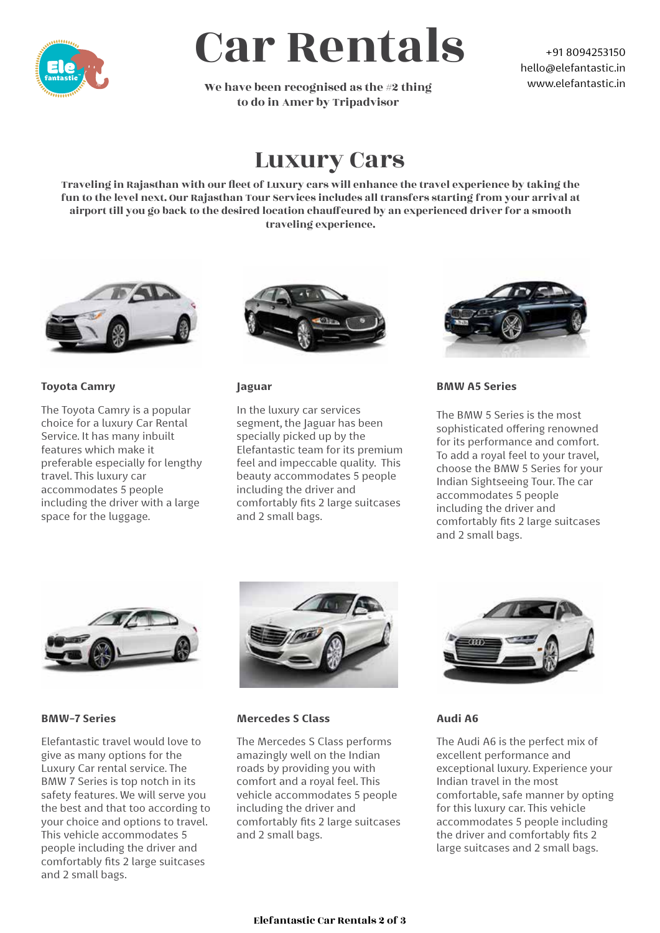

# Car Rentals

We have been recognised as the #2 thing to do in Amer by Tripadvisor

+91 8094253150 hello@elefantastic.in www.elefantastic.in

## Luxury Cars

Traveling in Rajasthan with our fleet of Luxury cars will enhance the travel experience by taking the fun to the level next. Our Rajasthan Tour Services includes all transfers starting from your arrival at airport till you go back to the desired location chauffeured by an experienced driver for a smooth traveling experience.



#### **Toyota Camry**

The Toyota Camry is a popular choice for a luxury Car Rental Service. It has many inbuilt features which make it preferable especially for lengthy travel. This luxury car accommodates 5 people including the driver with a large space for the luggage.



#### **Jaguar**

In the luxury car services segment, the Jaguar has been specially picked up by the Elefantastic team for its premium feel and impeccable quality. This beauty accommodates 5 people including the driver and comfortably fits 2 large suitcases and 2 small bags.



#### **BMW A5 Series**

The BMW 5 Series is the most sophisticated offering renowned for its performance and comfort. To add a royal feel to your travel, choose the BMW 5 Series for your Indian Sightseeing Tour. The car accommodates 5 people including the driver and comfortably fits 2 large suitcases and 2 small bags.



#### **BMW-7 Series**

Elefantastic travel would love to give as many options for the Luxury Car rental service. The BMW 7 Series is top notch in its safety features. We will serve you the best and that too according to your choice and options to travel. This vehicle accommodates 5 people including the driver and comfortably fits 2 large suitcases and 2 small bags.



#### **Mercedes S Class**

The Mercedes S Class performs amazingly well on the Indian roads by providing you with comfort and a royal feel. This vehicle accommodates 5 people including the driver and comfortably fits 2 large suitcases and 2 small bags.



#### **Audi A6**

The Audi A6 is the perfect mix of excellent performance and exceptional luxury. Experience your Indian travel in the most comfortable, safe manner by opting for this luxury car. This vehicle accommodates 5 people including the driver and comfortably fits 2 large suitcases and 2 small bags.